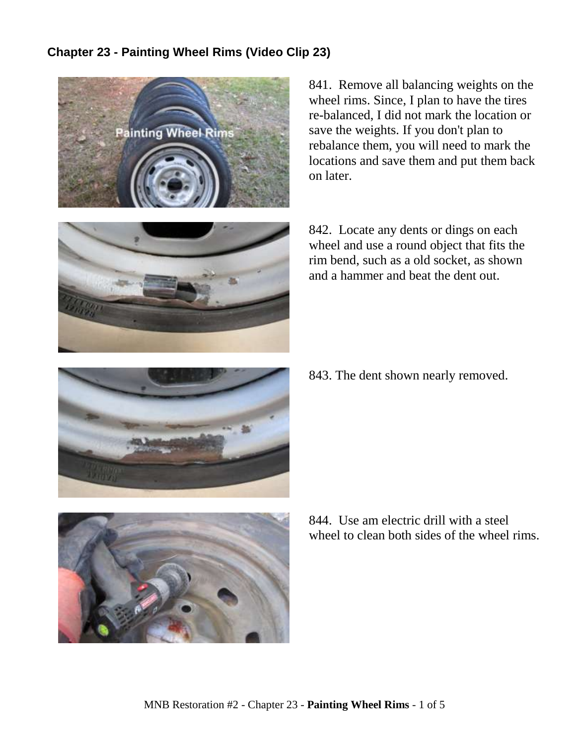## **Chapter 23 - Painting Wheel Rims (Video Clip 23)**



841. Remove all balancing weights on the wheel rims. Since, I plan to have the tires re-balanced, I did not mark the location or save the weights. If you don't plan to rebalance them, you will need to mark the locations and save them and put them back on later.



842. Locate any dents or dings on each wheel and use a round object that fits the rim bend, such as a old socket, as shown and a hammer and beat the dent out.



843. The dent shown nearly removed.



844. Use am electric drill with a steel wheel to clean both sides of the wheel rims.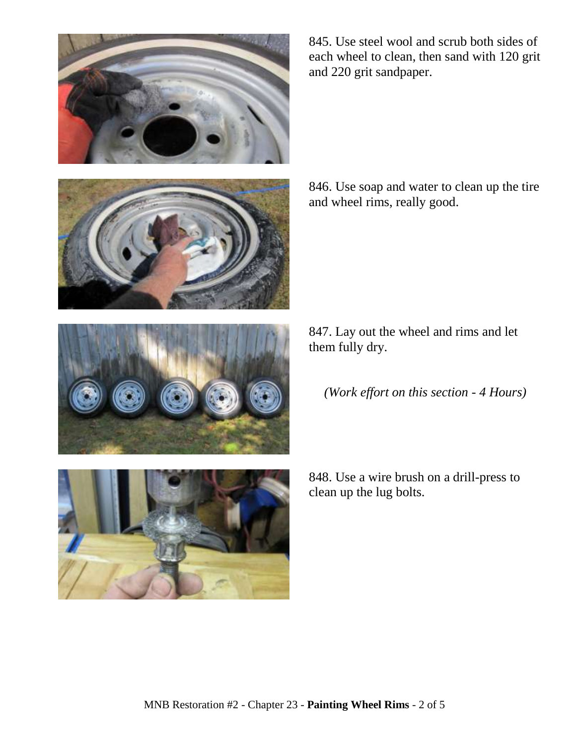







845. Use steel wool and scrub both sides of each wheel to clean, then sand with 120 grit and 220 grit sandpaper.

846. Use soap and water to clean up the tire and wheel rims, really good.

847. Lay out the wheel and rims and let them fully dry.

*(Work effort on this section - 4 Hours)*

848. Use a wire brush on a drill-press to clean up the lug bolts.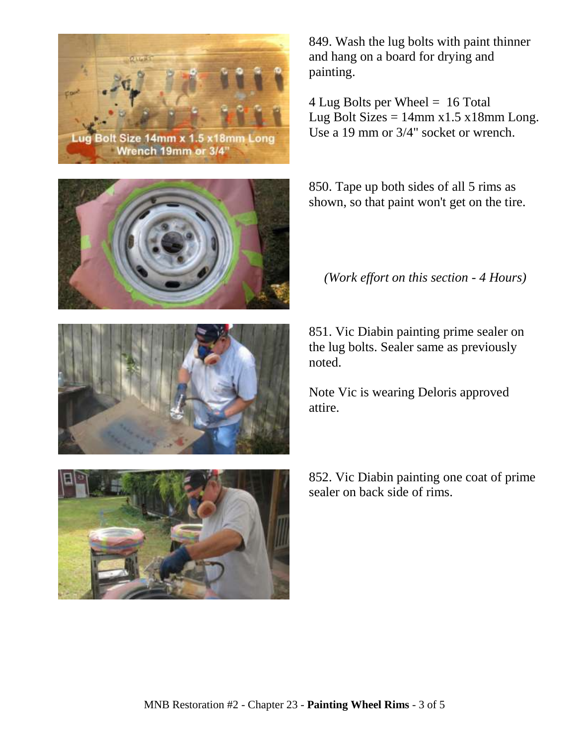



852. Vic Diabin painting one coat of prime sealer on back side of rims.

851. Vic Diabin painting prime sealer on the lug bolts. Sealer same as previously noted.

Note Vic is wearing Deloris approved

attire.

*(Work effort on this section - 4 Hours)*

850. Tape up both sides of all 5 rims as

shown, so that paint won't get on the tire.

849. Wash the lug bolts with paint thinner and hang on a board for drying and painting.

4 Lug Bolts per Wheel = 16 Total Lug Bolt Sizes =  $14$ mm x1.5 x18mm Long. Use a 19 mm or 3/4" socket or wrench.



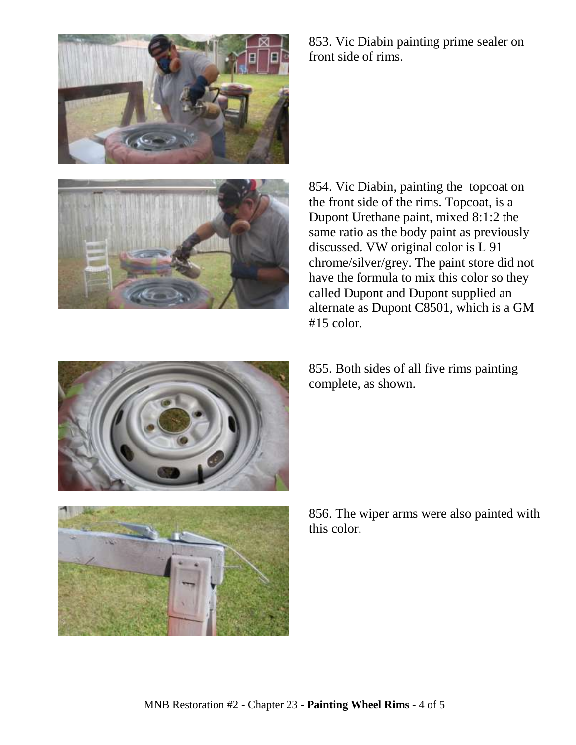

853. Vic Diabin painting prime sealer on front side of rims.



854. Vic Diabin, painting the topcoat on the front side of the rims. Topcoat, is a Dupont Urethane paint, mixed 8:1:2 the same ratio as the body paint as previously discussed. VW original color is L 91 chrome/silver/grey. The paint store did not have the formula to mix this color so they called Dupont and Dupont supplied an alternate as Dupont C8501, which is a GM #15 color.



855. Both sides of all five rims painting complete, as shown.



856. The wiper arms were also painted with this color.